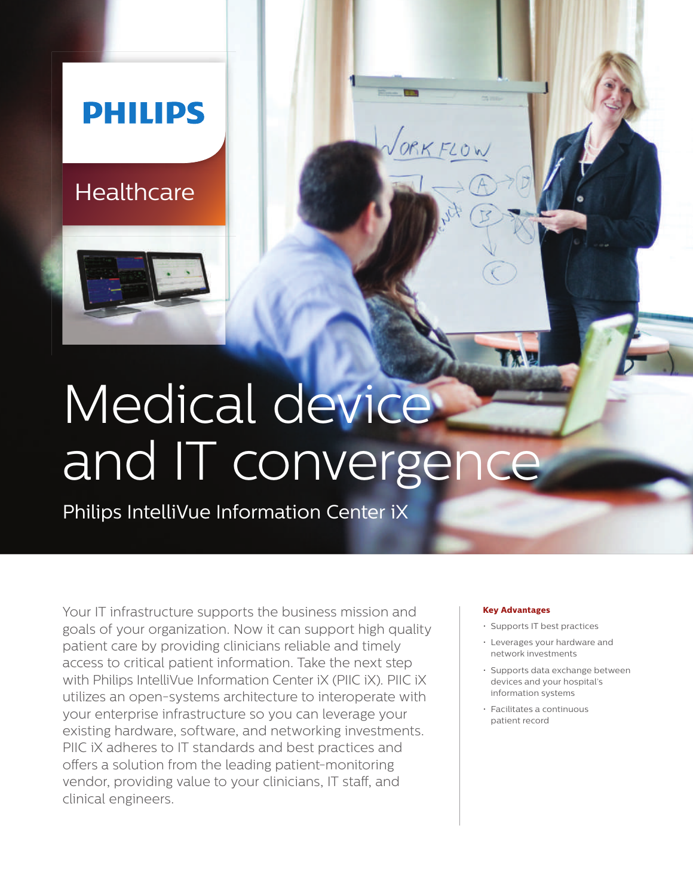## **PHILIPS**

### **Healthcare**



# Medical device and IT convergence

Philips IntelliVue Information Center iX

Your IT infrastructure supports the business mission and goals of your organization. Now it can support high quality patient care by providing clinicians reliable and timely access to critical patient information. Take the next step with Philips IntelliVue Information Center iX (PIIC iX). PIIC iX utilizes an open-systems architecture to interoperate with your enterprise infrastructure so you can leverage your existing hardware, software, and networking investments. PIIC iX adheres to IT standards and best practices and offers a solution from the leading patient-monitoring vendor, providing value to your clinicians, IT staff, and clinical engineers.

#### **Key Advantages**

ORKFLOW

- Supports IT best practices
- Leverages your hardware and network investments
- Supports data exchange between devices and your hospital's information systems
- Facilitates a continuous patient record